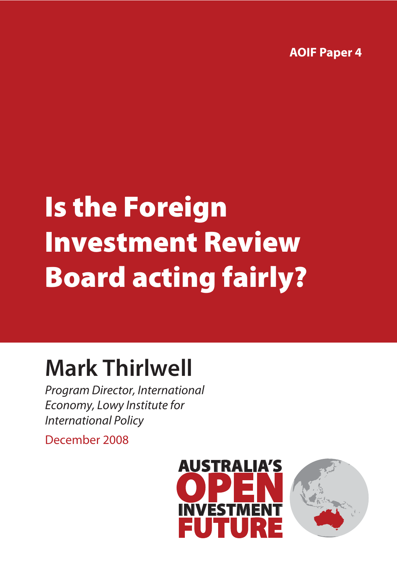**AOIF Paper 4**

# Is the Foreign Investment Review Board acting fairly?

## **Mark Thirlwell**

*Program Director, International Economy, Lowy Institute for International Policy*

December 2008



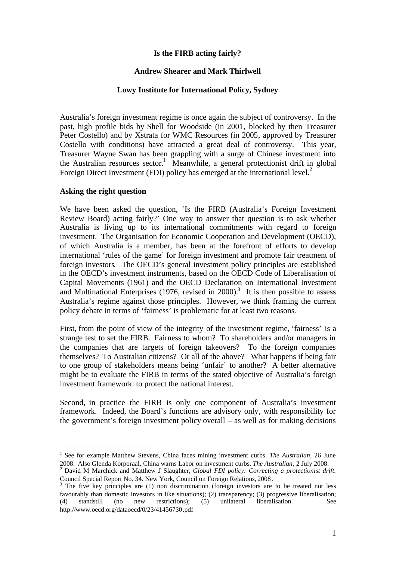#### **Is the FIRB acting fairly?**

#### **Andrew Shearer and Mark Thirlwell**

#### **Lowy Institute for International Policy, Sydney**

Australia's foreign investment regime is once again the subject of controversy. In the past, high profile bids by Shell for Woodside (in 2001, blocked by then Treasurer Peter Costello) and by Xstrata for WMC Resources (in 2005, approved by Treasurer Costello with conditions) have attracted a great deal of controversy. This year, Treasurer Wayne Swan has been grappling with a surge of Chinese investment into the Australian resources sector.<sup>[1](#page-1-0)</sup> Meanwhile, a general protectionist drift in global ForeignDirect Investment (FDI) policy has emerged at the international level.<sup>2</sup>

#### **Asking the right question**

We have been asked the question, 'Is the FIRB (Australia's Foreign Investment Review Board) acting fairly?' One way to answer that question is to ask whether Australia is living up to its international commitments with regard to foreign investment. The Organisation for Economic Cooperation and Development (OECD), of which Australia is a member, has been at the forefront of efforts to develop international 'rules of the game' for foreign investment and promote fair treatment of foreign investors. The OECD's general investment policy principles are established in the OECD's investment instruments, based on the OECD Code of Liberalisation of Capital Movements (1961) and the OECD Declaration on International Investment and Multinational Enterprises  $(1976,$  revised in  $2000$ ).<sup>[3](#page-1-2)</sup> It is then possible to assess Australia's regime against those principles. However, we think framing the current policy debate in terms of 'fairness' is problematic for at least two reasons.

First, from the point of view of the integrity of the investment regime, 'fairness' is a strange test to set the FIRB. Fairness to whom? To shareholders and/or managers in the companies that are targets of foreign takeovers? To the foreign companies themselves? To Australian citizens? Or all of the above? What happens if being fair to one group of stakeholders means being 'unfair' to another? A better alternative might be to evaluate the FIRB in terms of the stated objective of Australia's foreign investment framework: to protect the national interest.

Second, in practice the FIRB is only one component of Australia's investment framework. Indeed, the Board's functions are advisory only, with responsibility for the government's foreign investment policy overall – as well as for making decisions

<span id="page-1-0"></span><sup>&</sup>lt;sup>1</sup> See for example Matthew Stevens, China faces mining investment curbs. *The Australian*, 26 June 2008. Also Glenda Korporaal, China warns Labor on investment curbs. *The Australian*, 2 July 2008.

<span id="page-1-1"></span><sup>2</sup> David M Marchick and Matthew J Slaughter, *Global FDI policy: Correcting a protectionist drift*. Council Special Report No. 34. New York, Council on Foreign Relations, 2008.

<span id="page-1-2"></span> $3$  The five key principles are (1) non discrimination (foreign investors are to be treated not less favourably than domestic investors in like situations); (2) transparency; (3) progressive liberalisation; (4) standstill (no new restrictions); (5) unilateral liberalisation. See (4) standstill (no new restrictions); (5) unilateral liberalisation. See http://www.oecd.org/dataoecd/0/23/41456730.pdf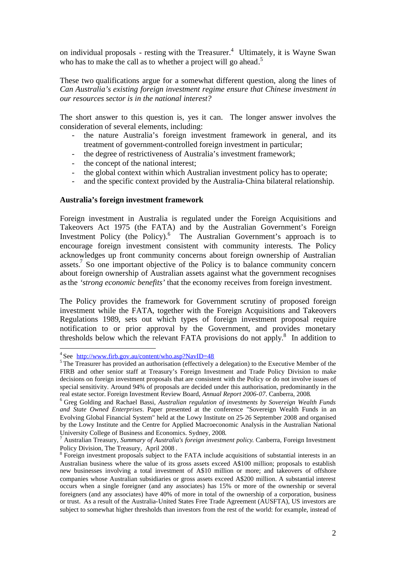on individual proposals - resting with the Treasurer.<sup>[4](#page-2-0)</sup> Ultimately, it is Wayne Swan who has to make the call as to whether a project will go ahead.<sup>[5](#page-2-1)</sup>

These two qualifications argue for a somewhat different question, along the lines of *Can Australia's existing foreign investment regime ensure that Chinese investment in our resources sector is in the national interest?*

The short answer to this question is, yes it can. The longer answer involves the consideration of several elements, including:

- the nature Australia's foreign investment framework in general, and its treatment of government-controlled foreign investment in particular;
- the degree of restrictiveness of Australia's investment framework;
- the concept of the national interest;
- the global context within which Australian investment policy has to operate;
- and the specific context provided by the Australia-China bilateral relationship.

#### **Australia's foreign investment framework**

Foreign investment in Australia is regulated under the Foreign Acquisitions and Takeovers Act 1975 (the FATA) and by the Australian Government's Foreign Investment Policy (the Policy).<sup>[6](#page-2-2)</sup> The Australian Government's approach is to encourage foreign investment consistent with community interests. The Policy acknowledges up front community concerns about foreign ownership of Australian assets.[7](#page-2-3) So one important objective of the Policy is to balance community concern about foreign ownership of Australian assets against what the government recognises asthe *'strong economic benefits'* that the economy receives from foreign investment.

The Policy provides the framework for Government scrutiny of proposed foreign investment while the FATA, together with the Foreign Acquisitions and Takeovers Regulations 1989, sets out which types of foreign investment proposal require notification to or prior approval by the Government, and provides monetary thresholds below which the relevant FATA provisions do not apply. [8](#page-2-4) In addition to

<span id="page-2-1"></span><span id="page-2-0"></span><sup>&</sup>lt;sup>4</sup> See http://www.firb.gov.au/content/who.asp?NavID=48

<sup>&</sup>lt;sup>5</sup> The Treasurer has provided an authorisation (effectively a delegation) to the Executive Member of the FIRB and other senior staff at Treasury's Foreign Investment and Trade Policy Division to make decisions on foreign investment proposals that are consistent with the Policy or do not involve issues of special sensitivity. Around 94% of proposals are decided under this authorisation, predominantly in the real estate sector. Foreign Investment Review Board, *Annual Report 2006-07*. Canberra, 2008.

<span id="page-2-2"></span><sup>6</sup> Greg Golding and Rachael Bassi, *Australian regulation of investments by Sovereign Wealth Funds and State Owned Enterprises*. Paper presented at the conference "Sovereign Wealth Funds in an Evolving Global Financial System" held at the Lowy Institute on 25-26 September 2008 and organised by the Lowy Institute and the Centre for Applied Macroeconomic Analysis in the Australian National University College of Business and Economics. Sydney, 2008.

<span id="page-2-3"></span><sup>7</sup> Australian Treasury, *Summary of Australia's foreign investment policy*. Canberra, Foreign Investment Policy Division, The Treasury, April 2008 .

<span id="page-2-4"></span><sup>&</sup>lt;sup>8</sup> Foreign investment proposals subject to the FATA include acquisitions of substantial interests in an Australian business where the value of its gross assets exceed A\$100 million; proposals to establish new businesses involving a total investment of A\$10 million or more; and takeovers of offshore companies whose Australian subsidiaries or gross assets exceed A\$200 million. A substantial interest occurs when a single foreigner (and any associates) has 15% or more of the ownership or several foreigners (and any associates) have 40% of more in total of the ownership of a corporation, business or trust. As a result of the Australia-United States Free Trade Agreement (AUSFTA), US investors are subject to somewhat higher thresholds than investors from the rest of the world: for example, instead of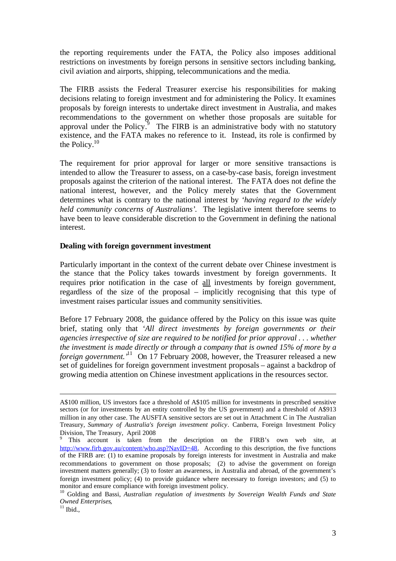the reporting requirements under the FATA, the Policy also imposes additional restrictions on investments by foreign persons in sensitive sectors including banking, civil aviation and airports, shipping, telecommunications and the media.

The FIRB assists the Federal Treasurer exercise his responsibilities for making decisions relating to foreign investment and for administering the Policy. It examines proposals by foreign interests to undertake direct investment in Australia, and makes recommendations to the government on whether those proposals are suitable for approval under the Policy. The FIRB is an administrative body with no statutory existence, and the FATA makes no reference to it. Instead, its role is confirmed by the Policy.[10](#page-3-1)

The requirement for prior approval for larger or more sensitive transactions is intended to allow the Treasurer to assess, on a case-by-case basis, foreign investment proposals against the criterion of the national interest. The FATA does not define the national interest, however, and the Policy merely states that the Government determines what is contrary to the national interest by *'having regard to the widely held community concerns of Australians'*. The legislative intent therefore seems to have been to leave considerable discretion to the Government in defining the national interest.

#### **Dealing with foreign government investment**

Particularly important in the context of the current debate over Chinese investment is the stance that the Policy takes towards investment by foreign governments. It requires prior notification in the case of all investments by foreign government, regardless of the size of the proposal – implicitly recognising that this type of investment raises particular issues and community sensitivities.

Before 17 February 2008, the guidance offered by the Policy on this issue was quite brief, stating only that *'All direct investments by foreign governments or their agencies irrespective of size are required to be notified for prior approval . . . whether the investment is made directly or through a company that is owned 15% of more by a foreign government.'*[11](#page-3-2) On 17 February 2008, however, the Treasurer released a new set of guidelines for foreign government investment proposals – against a backdrop of growing media attention on Chinese investment applications in the resources sector.

A\$100 million, US investors face a threshold of A\$105 million for investments in prescribed sensitive sectors (or for investments by an entity controlled by the US government) and a threshold of A\$913 million in any other case. The AUSFTA sensitive sectors are set out in Attachment C in The Australian Treasury, *Summary of Australia's foreign investment policy*. Canberra, Foreign Investment Policy Division, The Treasury, April 2008

<span id="page-3-0"></span>This account is taken from the description on the FIRB's own web site, at http://www.firb.gov.au/content/who.asp?NavID=48. According to this description, the five functions of the FIRB are: (1) to examine proposals by foreign interests for investment in Australia and make recommendations to government on those proposals; (2) to advise the government on foreign investment matters generally; (3) to foster an awareness, in Australia and abroad, of the government's foreign investment policy; (4) to provide guidance where necessary to foreign investors; and (5) to monitor and ensure compliance with foreign investment policy.

<span id="page-3-1"></span><sup>10</sup> Golding and Bassi, *Australian regulation of investments by Sovereign Wealth Funds and State Owned Enterprises*,

<span id="page-3-2"></span> $11$  Ibid.,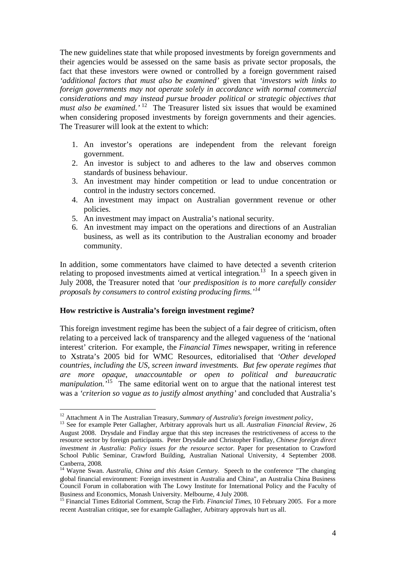The new guidelines state that while proposed investments by foreign governments and their agencies would be assessed on the same basis as private sector proposals, the fact that these investors were owned or controlled by a foreign government raised *'additional factors that must also be examined'* given that *'investors with links to foreign governments may not operate solely in accordance with normal commercial considerations and may instead pursue broader political or strategic objectives that must also be examined.*<sup>'[12](#page-4-0)</sup> The Treasurer listed six issues that would be examined when considering proposed investments by foreign governments and their agencies. The Treasurer will look at the extent to which:

- 1. An investor's operations are independent from the relevant foreign government.
- 2. An investor is subject to and adheres to the law and observes common standards of business behaviour.
- 3. An investment may hinder competition or lead to undue concentration or control in the industry sectors concerned.
- 4. An investment may impact on Australian government revenue or other policies.
- 5. An investment may impact on Australia's national security.
- 6. An investment may impact on the operations and directions of an Australian business, as well as its contribution to the Australian economy and broader community.

In addition, some commentators have claimed to have detected a seventh criterion relating to proposed investments aimed at vertical integration.<sup>[13](#page-4-1)</sup> In a speech given in July 2008, the Treasurer noted that *'our predisposition is to more carefully consider proposals by consumers to control existing producing firms.'[14](#page-4-2)*

#### **How restrictive is Australia's foreign investment regime?**

This foreign investment regime has been the subject of a fair degree of criticism, often relating to a perceived lack of transparency and the alleged vagueness of the 'national interest' criterion. For example, the *Financial Times* newspaper, writing in reference to Xstrata's 2005 bid for WMC Resources, editorialised that *'Other developed countries, including the US, screen inward investments. But few operate regimes that are more opaque, unaccountable or open to political and bureaucratic manipulation.*<sup>[15](#page-4-3)</sup> The same editorial went on to argue that the national interest test was a *'criterion so vague as to justify almost anything'* and concluded that Australia's

<span id="page-4-1"></span><span id="page-4-0"></span><sup>&</sup>lt;sup>12</sup> Attachment A in The Australian Treasury, *Summary of Australia's foreign investment policy*,

<sup>13</sup> See for example Peter Gallagher, Arbitrary approvals hurt us all. *Australian Financial Review*, 26 August 2008. Drysdale and Findlay argue that this step increases the restrictiveness of access to the resource sector by foreign participants. Peter Drysdale and Christopher Findlay, *Chinese foreign direct investment in Australia: Policy issues for the resource sector*. Paper for presentation to Crawford School Public Seminar, Crawford Building, Australian National University, 4 September 2008. Canberra, 2008.

<span id="page-4-2"></span><sup>&</sup>lt;sup>14</sup> Wayne Swan. *Australia, China and this Asian Century*. Speech to the conference "The changing global financial environment: Foreign investment in Australia and China", an Australia China Business Council Forum in collaboration with The Lowy Institute for International Policy and the Faculty of Business and Economics, Monash University. Melbourne, 4 July 2008.

<span id="page-4-3"></span><sup>&</sup>lt;sup>15</sup> Financial Times Editorial Comment, Scrap the Firb. *Financial Times*, 10 February 2005. For a more recent Australian critique, see for example Gallagher, Arbitrary approvals hurt us all.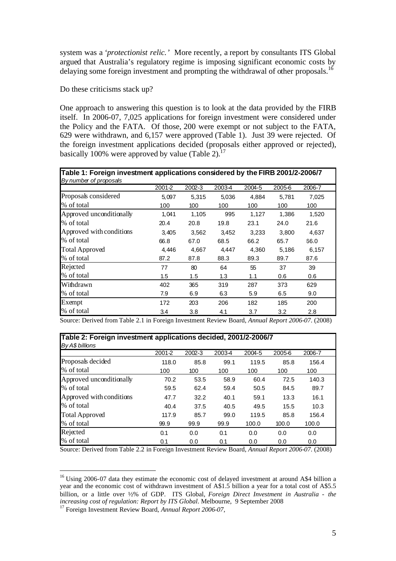system was a *'protectionist relic.'* More recently, a report by consultants ITS Global argued that Australia's regulatory regime is imposing significant economic costs by delaying some foreign investment and prompting the withdrawal of other proposals.<sup>[16](#page-5-0)</sup>

Do these criticisms stack up?

One approach to answering this question is to look at the data provided by the FIRB itself. In 2006-07, 7,025 applications for foreign investment were considered under the Policy and the FATA. Of those, 200 were exempt or not subject to the FATA, 629 were withdrawn, and 6,157 were approved (Table 1). Just 39 were rejected. Of the foreign investment applications decided (proposals either approved or rejected), basically100% were approved by value (Table 2).<sup>17</sup>

| Table 1: Foreign investment applications considered by the FIRB 2001/2-2006/7<br>By number of proposals |        |            |        |        |        |        |  |  |  |
|---------------------------------------------------------------------------------------------------------|--------|------------|--------|--------|--------|--------|--|--|--|
|                                                                                                         | 2001-2 | $2002 - 3$ | 2003-4 | 2004-5 | 2005-6 | 2006-7 |  |  |  |
| Proposals considered                                                                                    | 5,097  | 5,315      | 5,036  | 4,884  | 5,781  | 7,025  |  |  |  |
| % of total                                                                                              | 100    | 100        | 100    | 100    | 100    | 100    |  |  |  |
| Approved unconditionally                                                                                | 1,041  | 1,105      | 995    | 1,127  | 1,386  | 1,520  |  |  |  |
| % of total                                                                                              | 20.4   | 20.8       | 19.8   | 23.1   | 24.0   | 21.6   |  |  |  |
| Approved with conditions                                                                                | 3.405  | 3,562      | 3,452  | 3,233  | 3,800  | 4,637  |  |  |  |
| % of total                                                                                              | 66.8   | 67.0       | 68.5   | 66.2   | 65.7   | 66.0   |  |  |  |
| <b>Total Approved</b>                                                                                   | 4,446  | 4,667      | 4,447  | 4,360  | 5,186  | 6,157  |  |  |  |
| % of total                                                                                              | 87.2   | 87.8       | 88.3   | 89.3   | 89.7   | 87.6   |  |  |  |
| Rejected                                                                                                | 77     | 80         | 64     | 55     | 37     | 39     |  |  |  |
| % of total                                                                                              | 1.5    | 1.5        | 1.3    | 1.1    | 0.6    | 0.6    |  |  |  |
| Withdrawn                                                                                               | 402    | 365        | 319    | 287    | 373    | 629    |  |  |  |
| % of total                                                                                              | 7.9    | 6.9        | 6.3    | 5.9    | 6.5    | 9.0    |  |  |  |
| Exempt                                                                                                  | 172    | 203        | 206    | 182    | 185    | 200    |  |  |  |
| % of total                                                                                              | 3.4    | 3.8        | 4.1    | 3.7    | 3.2    | 2.8    |  |  |  |

Source: Derived from Table 2.1 in Foreign Investment Review Board, *Annual Report 2006-07*. (2008)

| Table 2: Foreign investment applications decided, 2001/2-2006/7 |        |        |        |        |        |        |  |  |  |  |
|-----------------------------------------------------------------|--------|--------|--------|--------|--------|--------|--|--|--|--|
| By A\$ billions                                                 |        |        |        |        |        |        |  |  |  |  |
|                                                                 | 2001-2 | 2002-3 | 2003-4 | 2004-5 | 2005-6 | 2006-7 |  |  |  |  |
| Proposals decided                                               | 118.0  | 85.8   | 99.1   | 119.5  | 85.8   | 156.4  |  |  |  |  |
| % of total                                                      | 100    | 100    | 100    | 100    | 100    | 100    |  |  |  |  |
| Approved unconditionally                                        | 70.2   | 53.5   | 58.9   | 60.4   | 72.5   | 140.3  |  |  |  |  |
| % of total                                                      | 59.5   | 62.4   | 59.4   | 50.5   | 84.5   | 89.7   |  |  |  |  |
| Approved with conditions                                        | 47.7   | 32.2   | 40.1   | 59.1   | 13.3   | 16.1   |  |  |  |  |
| % of total                                                      | 40.4   | 37.5   | 40.5   | 49.5   | 15.5   | 10.3   |  |  |  |  |
| <b>Total Approved</b>                                           | 117.9  | 85.7   | 99.0   | 119.5  | 85.8   | 156.4  |  |  |  |  |
| % of total                                                      | 99.9   | 99.9   | 99.9   | 100.0  | 100.0  | 100.0  |  |  |  |  |
| Rejected                                                        | 0.1    | 0.0    | 0.1    | 0.0    | 0.0    | 0.0    |  |  |  |  |
| % of total                                                      | 0.1    | 0.0    | 0.1    | 0.0    | 0.0    | 0.0    |  |  |  |  |

Source: Derived from Table 2.2 in Foreign Investment Review Board, *Annual Report 2006-07*. (2008)

<span id="page-5-0"></span><sup>&</sup>lt;sup>16</sup> Using 2006-07 data they estimate the economic cost of delayed investment at around A\$4 billion a year and the economic cost of withdrawn investment of A\$1.5 billion a year for a total cost of A\$5.5 billion, or a little over ½% of GDP. ITS Global, *Foreign Direct Investment in Australia - the increasing cost of regulation: Report by ITS Global*. Melbourne, 9 September 2008

<span id="page-5-1"></span><sup>17</sup> Foreign Investment Review Board, *Annual Report 2006-07*,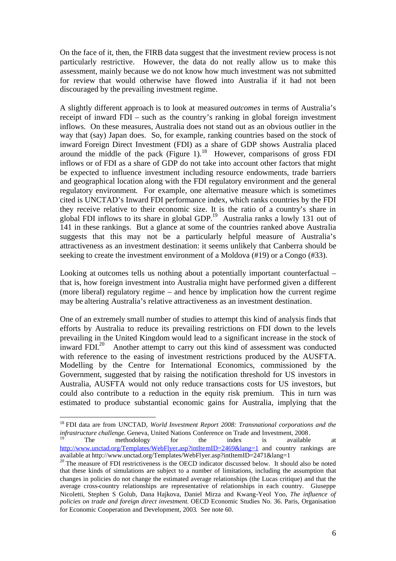On the face of it, then, the FIRB data suggest that the investment review process is not particularly restrictive. However, the data do not really allow us to make this assessment, mainly because we do not know how much investment was not submitted for review that would otherwise have flowed into Australia if it had not been discouraged by the prevailing investment regime.

A slightly different approach is to look at measured *outcomes* in terms of Australia's receipt of inward FDI – such as the country's ranking in global foreign investment inflows. On these measures, Australia does not stand out as an obvious outlier in the way that (say) Japan does. So, for example, ranking countries based on the stock of inward Foreign Direct Investment (FDI) as a share of GDP shows Australia placed around the middle of the pack (Figure 1).<sup>[18](#page-6-0)</sup> However, comparisons of gross FDI inflows or of FDI as a share of GDP do not take into account other factors that might be expected to influence investment including resource endowments, trade barriers and geographical location along with the FDI regulatory environment and the general regulatory environment. For example, one alternative measure which is sometimes cited is UNCTAD's Inward FDI performance index, which ranks countries by the FDI they receive relative to their economic size. It is the ratio of a country's share in global FDI inflows to its share in global GDP.<sup>[19](#page-6-1)</sup> Australia ranks a lowly 131 out of 141 in these rankings. But a glance at some of the countries ranked above Australia suggests that this may not be a particularly helpful measure of Australia's attractiveness as an investment destination: it seems unlikely that Canberra should be seeking to create the investment environment of a Moldova (#19) or a Congo (#33).

Looking at outcomes tells us nothing about a potentially important counterfactual – that is, how foreign investment into Australia might have performed given a different (more liberal) regulatory regime – and hence by implication how the current regime may be altering Australia's relative attractiveness as an investment destination.

One of an extremely small number of studies to attempt this kind of analysis finds that efforts by Australia to reduce its prevailing restrictions on FDI down to the levels prevailing in the United Kingdom would lead to a significant increase in the stock of inwardFDI. $^{20}$  Another attempt to carry out this kind of assessment was conducted with reference to the easing of investment restrictions produced by the AUSFTA. Modelling by the Centre for International Economics, commissioned by the Government, suggested that by raising the notification threshold for US investors in Australia, AUSFTA would not only reduce transactions costs for US investors, but could also contribute to a reduction in the equity risk premium. This in turn was estimated to produce substantial economic gains for Australia, implying that the

<span id="page-6-0"></span><sup>18</sup> FDI data are from UNCTAD, *World Investment Report 2008: Transnational corporations and the infrastructure challenge*. Geneva, United Nations Conference on Trade and Investment, 2008.

<span id="page-6-1"></span>The methodology for the index is available at http://www.unctad.org/Templates/WebFlyer.asp?intItemID=2469&lang=1 and country rankings are available at http://www.unctad.org/Templates/WebFlyer.asp?intItemID=2471&lang=1

<span id="page-6-2"></span><sup>&</sup>lt;sup>20</sup> The measure of FDI restrictiveness is the OECD indicator discussed below. It should also be noted that these kinds of simulations are subject to a number of limitations, including the assumption that changes in policies do not change the estimated average relationships (the Lucas critique) and that the average cross-country relationships are representative of relationships in each country. Giuseppe Nicoletti, Stephen S Golub, Dana Hajkova, Daniel Mirza and Kwang-Yeol Yoo, *The influence of policies on trade and foreign direct investment*. OECD Economic Studies No. 36. Paris, Organisation for Economic Cooperation and Development, 2003. See note 60.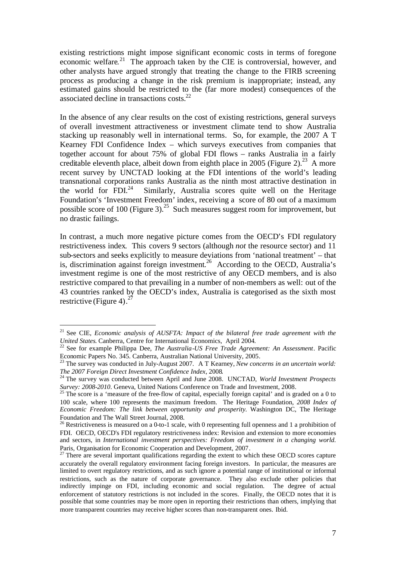existing restrictions might impose significant economic costs in terms of foregone economic welfare.<sup>[21](#page-7-0)</sup> The approach taken by the CIE is controversial, however, and other analysts have argued strongly that treating the change to the FIRB screening process as producing a change in the risk premium is inappropriate; instead, any estimated gains should be restricted to the (far more modest) consequences of the associated decline in transactions costs.[22](#page-7-1)

In the absence of any clear results on the cost of existing restrictions, general surveys of overall investment attractiveness or investment climate tend to show Australia stacking up reasonably well in international terms. So, for example, the 2007 A T Kearney FDI Confidence Index – which surveys executives from companies that together account for about 75% of global FDI flows – ranks Australia in a fairly creditable eleventh place, albeit down from eighth place in 2005 (Figure 2).<sup>[23](#page-7-2)</sup> A more recent survey by UNCTAD looking at the FDI intentions of the world's leading transnational corporations ranks Australia as the ninth most attractive destination in theworld for  $FDI.<sup>24</sup>$ Similarly, Australia scores quite well on the Heritage Foundation's 'Investment Freedom' index, receiving a score of 80 out of a maximum possible score of 100 (Figure 3).<sup>[25](#page-7-4)</sup> Such measures suggest room for improvement, but no drastic failings.

In contrast, a much more negative picture comes from the OECD's FDI regulatory restrictiveness index. This covers 9 sectors (although *not* the resource sector) and 11 sub-sectors and seeks explicitly to measure deviations from 'national treatment' – that is, discrimination against foreign investment. [26](#page-7-5) According to the OECD, Australia's investment regime is one of the most restrictive of any OECD members, and is also restrictive compared to that prevailing in a number of non-members as well: out of the 43 countries ranked by the OECD's index, Australia is categorised as the sixth most restrictive(Figure 4).<sup>27</sup>

<span id="page-7-0"></span><sup>21</sup> See CIE, *Economic analysis of AUSFTA: Impact of the bilateral free trade agreement with the United States*. Canberra, Centre for International Economics, April 2004.

<span id="page-7-1"></span><sup>22</sup> See for example Philippa Dee, *The Australia-US Free Trade Agreement: An Assessment*. Pacific Economic Papers No. 345. Canberra, Australian National University, 2005.

<span id="page-7-2"></span><sup>23</sup> The survey was conducted in July-August 2007. A T Kearney, *New concerns in an uncertain world: The 2007 Foreign Direct Investment Confidence Index*, 2008.

<span id="page-7-3"></span><sup>24</sup> The survey was conducted between April and June 2008. UNCTAD, *World Investment Prospects Survey: 2008-2010*. Geneva, United Nations Conference on Trade and Investment, 2008.

<span id="page-7-4"></span><sup>&</sup>lt;sup>25</sup> The score is a 'measure of the free-flow of capital, especially foreign capital' and is graded on a 0 to 100 scale, where 100 represents the maximum freedom. The Heritage Foundation, *2008 Index of Economic Freedom: The link between opportunity and prosperity.* Washington DC, The Heritage Foundation and The Wall Street Journal, 2008.

<span id="page-7-5"></span><sup>&</sup>lt;sup>26</sup> Restrictiveness is measured on a 0-to-1 scale, with 0 representing full openness and 1 a prohibition of FDI. OECD, OECD's FDI regulatory restrictiveness index: Revision and extension to more economies and sectors, in *International investment perspectives: Freedom of investment in a changing world.* Paris, Organisation for Economic Cooperation and Development, 2007.

<span id="page-7-6"></span> $27$  There are several important qualifications regarding the extent to which these OECD scores capture accurately the overall regulatory environment facing foreign investors. In particular, the measures are limited to overt regulatory restrictions, and as such ignore a potential range of institutional or informal restrictions, such as the nature of corporate governance. They also exclude other policies that indirectly impinge on FDI, including economic and social regulation. The degree of actual enforcement of statutory restrictions is not included in the scores. Finally, the OECD notes that it is possible that some countries may be more open in reporting their restrictions than others, implying that more transparent countries may receive higher scores than non-transparent ones. Ibid.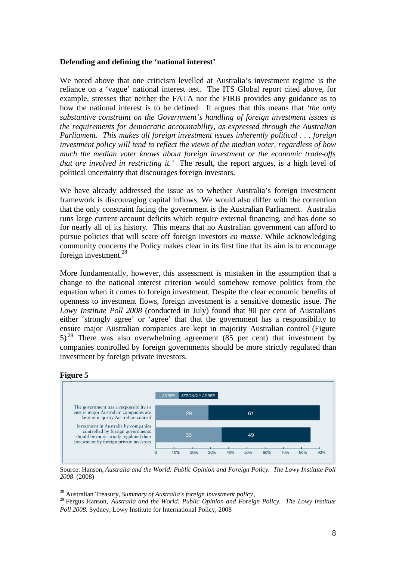#### **Defending and defining the 'national interest'**

We noted above that one criticism levelled at Australia's investment regime is the reliance on a 'vague' national interest test. The ITS Global report cited above, for example, stresses that neither the FATA nor the FIRB provides any guidance as to how the national interest is to be defined. It argues that this means that *'the only substantive constraint on the Government's handling of foreign investment issues is the requirements for democratic accountability, as expressed through the Australian Parliament. This makes all foreign investment issues inherently political . . . foreign investment policy will tend to reflect the views of the median voter, regardless of how much the median voter knows about foreign investment or the economic trade-offs that are involved in restricting it.'* The result, the report argues, is a high level of political uncertainty that discourages foreign investors.

We have already addressed the issue as to whether Australia's foreign investment framework is discouraging capital inflows. We would also differ with the contention that the only constraint facing the government is the Australian Parliament. Australia runs large current account deficits which require external financing, and has done so for nearly all of its history. This means that no Australian government can afford to pursue policies that will scare off foreign investors *en masse*. While acknowledging community concerns the Policy makes clear in its first line that its aim is to encourage foreign investment.<sup>[28](#page-8-0)</sup>

More fundamentally, however, this assessment is mistaken in the assumption that a change to the national interest criterion would somehow remove politics from the equation when it comes to foreign investment. Despite the clear economic benefits of openness to investment flows, foreign investment is a sensitive domestic issue. *The Lowy Institute Poll 2008* (conducted in July) found that 90 per cent of Australians either 'strongly agree' or 'agree' that that the government has a responsibility to ensure major Australian companies are kept in majority Australian control (Figure 5). [29](#page-8-1) There was also overwhelming agreement (85 per cent) that investment by companies controlled by foreign governments should be more strictly regulated than investment by foreign private investors.

#### **Figure 5**



Source: Hanson, *Australia and the World: Public Opinion and Foreign Policy. The Lowy Institute Poll 2008*. (2008)

<span id="page-8-1"></span><span id="page-8-0"></span><sup>28</sup> Australian Treasury, *Summary of Australia's foreign investment policy*,

<sup>29</sup> Fergus Hanson, *Australia and the World: Public Opinion and Foreign Policy. The Lowy Institute Poll 2008*. Sydney, Lowy Institute for International Policy, 2008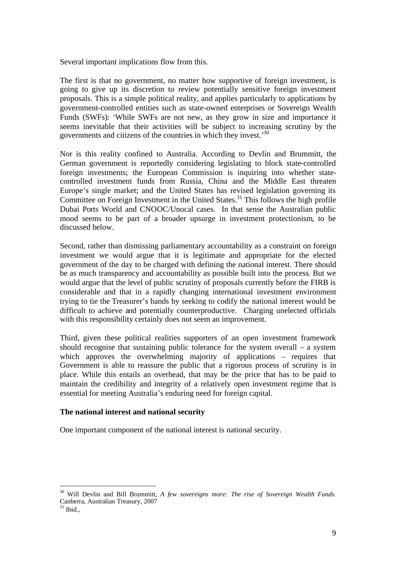Several important implications flow from this.

The first is that no government, no matter how supportive of foreign investment, is going to give up its discretion to review potentially sensitive foreign investment proposals. This is a simple political reality, and applies particularly to applications by government-controlled entities such as state-owned enterprises or Sovereign Wealth Funds (SWFs): 'While SWFs are not new, as they grow in size and importance it seems inevitable that their activities will be subject to increasing scrutiny by the governments and citizens of the countries in which they invest.'[30](#page-9-0)

Nor is this reality confined to Australia. According to Devlin and Brummitt, the German government is reportedly considering legislating to block state-controlled foreign investments; the European Commission is inquiring into whether statecontrolled investment funds from Russia, China and the Middle East threaten Europe's single market; and the United States has revised legislation governing its Committee on Foreign Investment in the United States.<sup>[31](#page-9-1)</sup> This follows the high profile Dubai Ports World and CNOOC/Unocal cases. In that sense the Australian public mood seems to be part of a broader upsurge in investment protectionism, to be discussed below.

Second, rather than dismissing parliamentary accountability as a constraint on foreign investment we would argue that it is legitimate and appropriate for the elected government of the day to be charged with defining the national interest. There should be as much transparency and accountability as possible built into the process. But we would argue that the level of public scrutiny of proposals currently before the FIRB is considerable and that in a rapidly changing international investment environment trying to tie the Treasurer's hands by seeking to codify the national interest would be difficult to achieve and potentially counterproductive. Charging unelected officials with this responsibility certainly does not seem an improvement.

Third, given these political realities supporters of an open investment framework should recognise that sustaining public tolerance for the system overall – a system which approves the overwhelming majority of applications – requires that Government is able to reassure the public that a rigorous process of scrutiny is in place. While this entails an overhead, that may be the price that has to be paid to maintain the credibility and integrity of a relatively open investment regime that is essential for meeting Australia's enduring need for foreign capital.

#### **The national interest and national security**

One important component of the national interest is national security.

<span id="page-9-0"></span><sup>30</sup> Will Devlin and Bill Brummitt, *A few sovereigns more: The rise of Sovereign Wealth Funds*. Canberra, Australian Treasury, 2007

<span id="page-9-1"></span> $31$  Ibid.,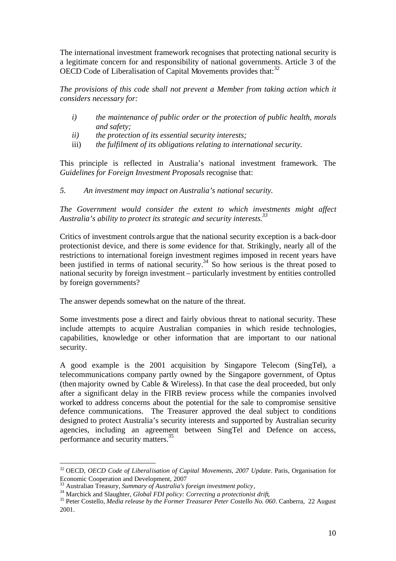The international investment framework recognises that protecting national security is a legitimate concern for and responsibility of national governments. Article 3 of the OECDCode of Liberalisation of Capital Movements provides that:<sup>32</sup>

*The provisions of this code shall not prevent a Member from taking action which it considers necessary for:*

- *i) the maintenance of public order or the protection of public health, morals and safety;*
- *ii) the protection of its essential security interests;*
- iii) *the fulfilment of its obligations relating to international security*.

This principle is reflected in Australia's national investment framework. The *Guidelines for Foreign Investment Proposals* recognise that:

*5. An investment may impact on Australia's national security.*

*The Government would consider the extent to which investments might affect Australia's ability to protect its strategic and security interests.[33](#page-10-1)*

Critics of investment controls argue that the national security exception is a back-door protectionist device, and there is *some* evidence for that. Strikingly, nearly all of the restrictions to international foreign investment regimes imposed in recent years have been justified in terms of national security.<sup>[34](#page-10-2)</sup> So how serious is the threat posed to national security by foreign investment – particularly investment by entities controlled by foreign governments?

The answer depends somewhat on the nature of the threat.

Some investments pose a direct and fairly obvious threat to national security. These include attempts to acquire Australian companies in which reside technologies, capabilities, knowledge or other information that are important to our national security.

A good example is the 2001 acquisition by Singapore Telecom (SingTel), a telecommunications company partly owned by the Singapore government, of Optus (then majority owned by Cable & Wireless). In that case the deal proceeded, but only after a significant delay in the FIRB review process while the companies involved worked to address concerns about the potential for the sale to compromise sensitive defence communications. The Treasurer approved the deal subject to conditions designed to protect Australia's security interests and supported by Australian security agencies, including an agreement between SingTel and Defence on access, performance and security matters.[35](#page-10-3)

<span id="page-10-0"></span><sup>32</sup> OECD, *OECD Code of Liberalisation of Capital Movements, 2007 Update*. Paris, Organisation for Economic Cooperation and Development, 2007

<span id="page-10-2"></span><span id="page-10-1"></span><sup>33</sup> Australian Treasury, *Summary of Australia's foreign investment policy*,

<sup>&</sup>lt;sup>34</sup> Marchick and Slaughter, *Global FDI policy: Correcting a protectionist drift*,

<span id="page-10-3"></span><sup>35</sup> Peter Costello, *Media release by the Former Treasurer Peter Costello No. 060*. Canberra, 22 August 2001.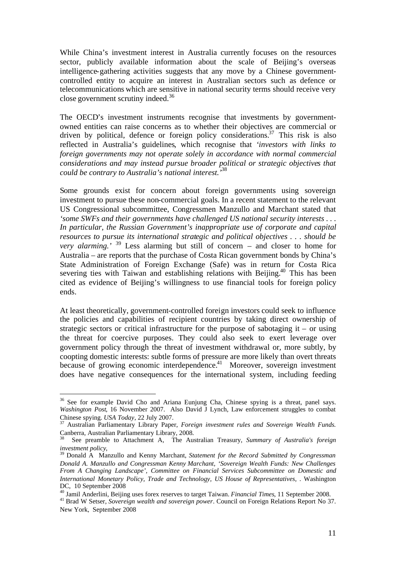While China's investment interest in Australia currently focuses on the resources sector, publicly available information about the scale of Beijing's overseas intelligence-gathering activities suggests that any move by a Chinese governmentcontrolled entity to acquire an interest in Australian sectors such as defence or telecommunications which are sensitive in national security terms should receive very close government scrutiny indeed.[36](#page-11-0)

The OECD's investment instruments recognise that investments by governmentowned entities can raise concerns as to whether their objectives are commercial or driven by political, defence or foreign policy considerations.<sup>[37](#page-11-1)</sup> This risk is also reflected in Australia's guidelines, which recognise that *'investors with links to foreign governments may not operate solely in accordance with normal commercial considerations and may instead pursue broader political or strategic objectives that could be contrary to Australia's national interest.'*[38](#page-11-2)

Some grounds exist for concern about foreign governments using sovereign investment to pursue these non-commercial goals. In a recent statement to the relevant US Congressional subcommittee, Congressmen Manzullo and Marchant stated that *'some SWFs and their governments have challenged US national security interests . . . In particular, the Russian Government's inappropriate use of corporate and capital resources to pursue its international strategic and political objectives . . . should be very alarming.'* [39](#page-11-3) Less alarming but still of concern – and closer to home for Australia – are reports that the purchase of Costa Rican government bonds by China's State Administration of Foreign Exchange (Safe) was in return for Costa Rica severing ties with Taiwan and establishing relations with Beijing.<sup>[40](#page-11-4)</sup> This has been cited as evidence of Beijing's willingness to use financial tools for foreign policy ends.

At least theoretically, government-controlled foreign investors could seek to influence the policies and capabilities of recipient countries by taking direct ownership of strategic sectors or critical infrastructure for the purpose of sabotaging it – or using the threat for coercive purposes. They could also seek to exert leverage over government policy through the threat of investment withdrawal or, more subtly, by coopting domestic interests: subtle forms of pressure are more likely than overt threats because of growing economic interdependence.<sup>[41](#page-11-5)</sup> Moreover, sovereign investment does have negative consequences for the international system, including feeding

<span id="page-11-0"></span><sup>&</sup>lt;sup>36</sup> See for example David Cho and Ariana Eunjung Cha, Chinese spying is a threat, panel says. *Washington Post*, 16 November 2007. Also David J Lynch, Law enforcement struggles to combat Chinese spying. *USA Today*, 22 July 2007.

<span id="page-11-1"></span><sup>37</sup> Australian Parliamentary Library Paper, *Foreign investment rules and Sovereign Wealth Funds*. Canberra, Australian Parliamentary Library, 2008.

<span id="page-11-2"></span><sup>38</sup> See preamble to Attachment A, The Australian Treasury, *Summary of Australia's foreign investment policy*,

<span id="page-11-3"></span><sup>39</sup> Donald A Manzullo and Kenny Marchant, *Statement for the Record Submitted by Congressman Donald A. Manzullo and Congressman Kenny Marchant, 'Sovereign Wealth Funds: New Challenges From A Changing Landscape', Committee on Financial Services Subcommittee on Domestic and International Monetary Policy, Trade and Technology, US House of Representatives,* . Washington DC, 10 September 2008

<span id="page-11-5"></span><span id="page-11-4"></span><sup>40</sup> Jamil Anderlini, Beijing uses forex reserves to target Taiwan. *Financial Times*, 11 September 2008. <sup>41</sup> Brad W Setser, *Sovereign wealth and sovereign power*. Council on Foreign Relations Report No 37. New York, September 2008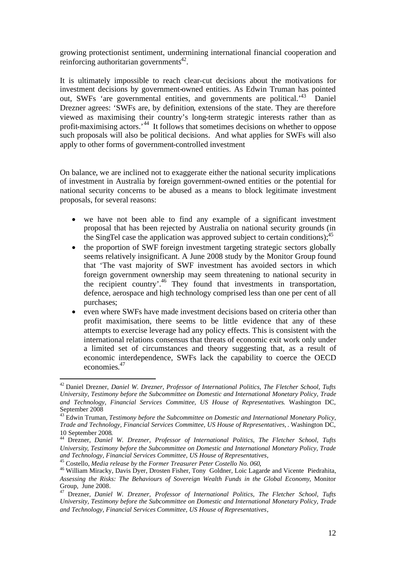growing protectionist sentiment, undermining international financial cooperation and reinforcing authoritarian governments $42$ .

It is ultimately impossible to reach clear-cut decisions about the motivations for investment decisions by government-owned entities. As Edwin Truman has pointed out, SWFs 'are governmental entities, and governments are political.'[43](#page-12-1) Daniel Drezner agrees: 'SWFs are, by definition, extensions of the state. They are therefore viewed as maximising their country's long-term strategic interests rather than as profit-maximising actors.<sup>[44](#page-12-2)</sup> It follows that sometimes decisions on whether to oppose such proposals will also be political decisions. And what applies for SWFs will also apply to other forms of government-controlled investment

On balance, we are inclined not to exaggerate either the national security implications of investment in Australia by foreign government-owned entities or the potential for national security concerns to be abused as a means to block legitimate investment proposals, for several reasons:

- we have not been able to find any example of a significant investment proposal that has been rejected by Australia on national security grounds (in the SingTel case the application was approved subject to certain conditions);<sup>[45](#page-12-3)</sup>
- the proportion of SWF foreign investment targeting strategic sectors globally seems relatively insignificant. A June 2008 study by the Monitor Group found that 'The vast majority of SWF investment has avoided sectors in which foreign government ownership may seem threatening to national security in the recipient country'.[46](#page-12-4) They found that investments in transportation, defence, aerospace and high technology comprised less than one per cent of all purchases;
- even where SWFs have made investment decisions based on criteria other than profit maximisation, there seems to be little evidence that any of these attempts to exercise leverage had any policy effects. This is consistent with the international relations consensus that threats of economic exit work only under a limited set of circumstances and theory suggesting that, as a result of economic interdependence, SWFs lack the capability to coerce the OECD economies. [47](#page-12-5)

<span id="page-12-0"></span><sup>42</sup> Daniel Drezner, *Daniel W. Drezner, Professor of International Politics, The Fletcher School, Tufts University, Testimony before the Subcommittee on Domestic and International Monetary Policy, Trade and Technology, Financial Services Committee, US House of Representatives*. Washington DC, September 2008

<span id="page-12-1"></span><sup>43</sup> Edwin Truman, *Testimony before the Subcommittee on Domestic and International Monetary Policy, Trade and Technology, Financial Services Committee, US House of Representatives,* . Washington DC, 10 September 2008.

<span id="page-12-2"></span><sup>44</sup> Drezner, *Daniel W. Drezner, Professor of International Politics, The Fletcher School, Tufts University, Testimony before the Subcommittee on Domestic and International Monetary Policy, Trade and Technology, Financial Services Committee, US House of Representatives*,

<span id="page-12-4"></span><span id="page-12-3"></span><sup>45</sup> Costello, *Media release by the Former Treasurer Peter Costello No. 060*,

<sup>&</sup>lt;sup>46</sup> William Miracky, Davis Dyer, Drosten Fisher, Tony Goldner, Loic Lagarde and Vicente Piedrahita, *Assessing the Risks: The Behaviours of Sovereign Wealth Funds in the Global Economy*, Monitor Group, June 2008.

<span id="page-12-5"></span><sup>47</sup> Drezner, *Daniel W. Drezner, Professor of International Politics, The Fletcher School, Tufts University, Testimony before the Subcommittee on Domestic and International Monetary Policy, Trade and Technology, Financial Services Committee, US House of Representatives*,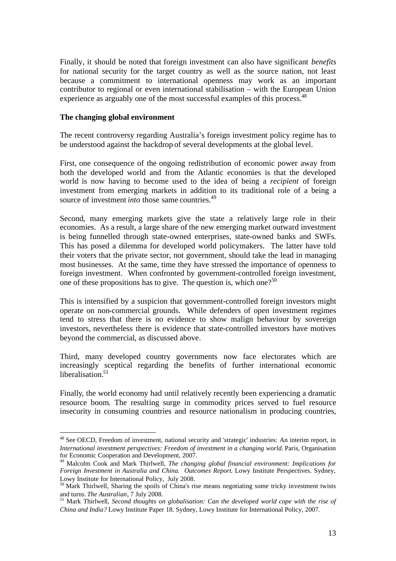Finally, it should be noted that foreign investment can also have significant *benefits* for national security for the target country as well as the source nation, not least because a commitment to international openness may work as an important contributor to regional or even international stabilisation – with the European Union experience as arguably one of the most successful examples of this process.<sup>[48](#page-13-0)</sup>

#### **The changing global environment**

The recent controversy regarding Australia's foreign investment policy regime has to be understood against the backdrop of several developments at the global level.

First, one consequence of the ongoing redistribution of economic power away from both the developed world and from the Atlantic economies is that the developed world is now having to become used to the idea of being a *recipient* of foreign investment from emerging markets in addition to its traditional role of a being a source of investment *into* those same countries.<sup>[49](#page-13-1)</sup>

Second, many emerging markets give the state a relatively large role in their economies. As a result, a large share of the new emerging market outward investment is being funnelled through state-owned enterprises, state-owned banks and SWFs. This has posed a dilemma for developed world policymakers. The latter have told their voters that the private sector, not government, should take the lead in managing most businesses. At the same, time they have stressed the importance of openness to foreign investment. When confronted by government-controlled foreign investment, oneof these propositions has to give. The question is, which one?<sup>50</sup>

This is intensified by a suspicion that government-controlled foreign investors might operate on non-commercial grounds. While defenders of open investment regimes tend to stress that there is no evidence to show malign behaviour by sovereign investors, nevertheless there is evidence that state-controlled investors have motives beyond the commercial, as discussed above.

Third, many developed country governments now face electorates which are increasingly sceptical regarding the benefits of further international economic liberalisation. $51$ 

Finally, the world economy had until relatively recently been experiencing a dramatic resource boom. The resulting surge in commodity prices served to fuel resource insecurity in consuming countries and resource nationalism in producing countries,

<span id="page-13-0"></span><sup>48</sup> See OECD, Freedom of investment, national security and 'strategic' industries: An interim report, in *International investment perspectives: Freedom of investment in a changing world.* Paris, Organisation for Economic Cooperation and Development, 2007.

<span id="page-13-1"></span><sup>49</sup> Malcolm Cook and Mark Thirlwell, *The changing global financial environment: Implications for Foreign Investment in Australia and China. Outcomes Report. Lowy Institute Perspectives. Sydney,* Lowy Institute for International Policy, July 2008.

<span id="page-13-2"></span><sup>50</sup> Mark Thirlwell, Sharing the spoils of China's rise means negotiating some tricky investment twists and turns. *The Australian*, 7 July 2008.

<span id="page-13-3"></span><sup>51</sup> Mark Thirlwell, *Second thoughts on globalisation: Can the developed world cope with the rise of China and India?* Lowy Institute Paper 18. Sydney, Lowy Institute for International Policy, 2007.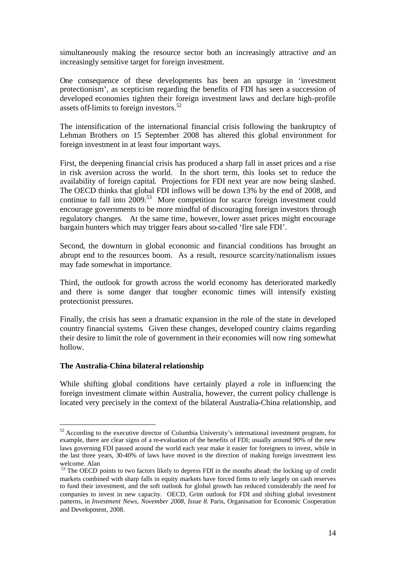simultaneously making the resource sector both an increasingly attractive *and* an increasingly sensitive target for foreign investment.

One consequence of these developments has been an upsurge in 'investment protectionism', as scepticism regarding the benefits of FDI has seen a succession of developed economies tighten their foreign investment laws and declare high-profile assets off-limits to foreign investors.<sup>[52](#page-14-0)</sup>

The intensification of the international financial crisis following the bankruptcy of Lehman Brothers on 15 September 2008 has altered this global environment for foreign investment in at least four important ways.

First, the deepening financial crisis has produced a sharp fall in asset prices and a rise in risk aversion across the world. In the short term, this looks set to reduce the availability of foreign capital. Projections for FDI next year are now being slashed. The OECD thinks that global FDI inflows will be down 13% by the end of 2008, and continue to fall into 2009.<sup>[53](#page-14-1)</sup> More competition for scarce foreign investment could encourage governments to be more mindful of discouraging foreign investors through regulatory changes. At the same time, however, lower asset prices might encourage bargain hunters which may trigger fears about so-called 'fire sale FDI'.

Second, the downturn in global economic and financial conditions has brought an abrupt end to the resources boom. As a result, resource scarcity/nationalism issues may fade somewhat in importance.

Third, the outlook for growth across the world economy has deteriorated markedly and there is some danger that tougher economic times will intensify existing protectionist pressures.

Finally, the crisis has seen a dramatic expansion in the role of the state in developed country financial systems. Given these changes, developed country claims regarding their desire to limit the role of government in their economies will now ring somewhat hollow.

#### **The Australia-China bilateral relationship**

While shifting global conditions have certainly played a role in influencing the foreign investment climate within Australia, however, the current policy challenge is located very precisely in the context of the bilateral Australia-China relationship, and

<span id="page-14-0"></span><sup>&</sup>lt;sup>52</sup> According to the executive director of Columbia University's international investment program, for example, there are clear signs of a re-evaluation of the benefits of FDI; usually around 90% of the new laws governing FDI passed around the world each year make it easier for foreigners to invest, while in the last three years, 30-40% of laws have moved in the direction of making foreign investment less welcome. Alan

<span id="page-14-1"></span><sup>&</sup>lt;sup>53</sup> The OECD points to two factors likely to depress FDI in the months ahead: the locking up of credit markets combined with sharp falls in equity markets have forced firms to rely largely on cash reserves to fund their investment, and the soft outlook for global growth has reduced considerably the need for companies to invest in new capacity. OECD, Grim outlook for FDI and shifting global investment patterns, in *Investment News, November 2008, Issue 8.* Paris, Organisation for Economic Cooperation and Development, 2008.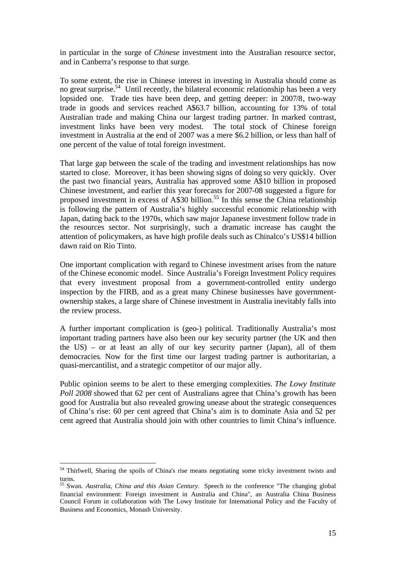in particular in the surge of *Chinese* investment into the Australian resource sector, and in Canberra's response to that surge.

To some extent, the rise in Chinese interest in investing in Australia should come as no great surprise.<sup>[54](#page-15-0)</sup> Until recently, the bilateral economic relationship has been a very lopsided one. Trade ties have been deep, and getting deeper: in 2007/8, two-way trade in goods and services reached A\$63.7 billion, accounting for 13% of total Australian trade and making China our largest trading partner. In marked contrast, investment links have been very modest. The total stock of Chinese foreign investment in Australia at the end of 2007 was a mere \$6.2 billion, or less than half of one percent of the value of total foreign investment.

That large gap between the scale of the trading and investment relationships has now started to close. Moreover, it has been showing signs of doing so very quickly. Over the past two financial years, Australia has approved some A\$10 billion in proposed Chinese investment, and earlier this year forecasts for 2007-08 suggested a figure for proposed investment in excess of A\$30 billion.<sup>[55](#page-15-1)</sup> In this sense the China relationship is following the pattern of Australia's highly successful economic relationship with Japan, dating back to the 1970s, which saw major Japanese investment follow trade in the resources sector. Not surprisingly, such a dramatic increase has caught the attention of policymakers, as have high profile deals such as Chinalco's US\$14 billion dawn raid on Rio Tinto.

One important complication with regard to Chinese investment arises from the nature of the Chinese economic model. Since Australia's Foreign Investment Policy requires that every investment proposal from a government-controlled entity undergo inspection by the FIRB, and as a great many Chinese businesses have governmentownership stakes, a large share of Chinese investment in Australia inevitably falls into the review process.

A further important complication is (geo-) political. Traditionally Australia's most important trading partners have also been our key security partner (the UK and then the US) – or at least an ally of our key security partner (Japan), all of them democracies. Now for the first time our largest trading partner is authoritarian, a quasi-mercantilist, and a strategic competitor of our major ally.

Public opinion seems to be alert to these emerging complexities. *The Lowy Institute Poll 2008* showed that 62 per cent of Australians agree that China's growth has been good for Australia but also revealed growing unease about the strategic consequences of China's rise: 60 per cent agreed that China's aim is to dominate Asia and 52 per cent agreed that Australia should join with other countries to limit China's influence.

<span id="page-15-0"></span><sup>&</sup>lt;sup>54</sup> Thirlwell, Sharing the spoils of China's rise means negotiating some tricky investment twists and turns.

<span id="page-15-1"></span><sup>55</sup> Swan. *Australia, China and this Asian Century.* Speech to the conference "The changing global financial environment: Foreign investment in Australia and China", an Australia China Business Council Forum in collaboration with The Lowy Institute for International Policy and the Faculty of Business and Economics, Monash University.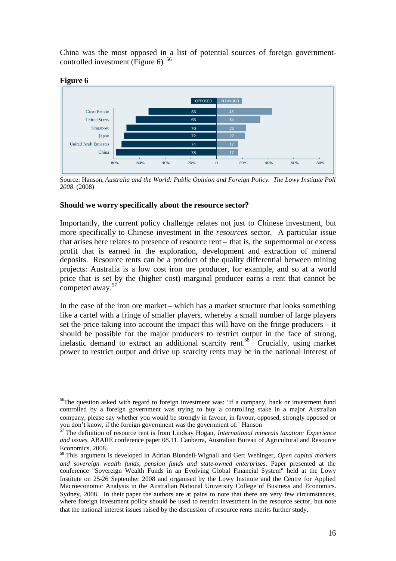China was the most opposed in a list of potential sources of foreign governmentcontrolledinvestment (Figure 6).<sup>56</sup>



Source: Hanson, *Australia and the World: Public Opinion and Foreign Policy. The Lowy Institute Poll 2008*. (2008)

#### **Should we worry specifically about the resource sector?**

Importantly, the current policy challenge relates not just to Chinese investment, but more specifically to Chinese investment in the *resources* sector. A particular issue that arises here relates to presence of resource rent – that is, the supernormal or excess profit that is earned in the exploration, development and extraction of mineral deposits. Resource rents can be a product of the quality differential between mining projects: Australia is a low cost iron ore producer, for example, and so at a world price that is set by the (higher cost) marginal producer earns a rent that cannot be .<br>competed away.<sup>[57](#page-16-1)</sup>

In the case of the iron ore market – which has a market structure that looks something like a cartel with a fringe of smaller players, whereby a small number of large players set the price taking into account the impact this will have on the fringe producers – it should be possible for the major producers to restrict output in the face of strong, inelasticdemand to extract an additional scarcity rent.<sup>58</sup> Crucially, using market power to restrict output and drive up scarcity rents may be in the national interest of

<span id="page-16-0"></span><sup>&</sup>lt;sup>56</sup>The question asked with regard to foreign investment was: 'If a company, bank or investment fund controlled by a foreign government was trying to buy a controlling stake in a major Australian company, please say whether you would be strongly in favour, in favour, opposed, strongly opposed or you don't know, if the foreign government was the government of:' Hanson

<span id="page-16-1"></span><sup>57</sup> The definition of resource rent is from Lindsay Hogan, *International minerals taxation: Experience and issues*. ABARE conference paper 08.11. Canberra, Australian Bureau of Agricultural and Resource Economics, 2008.

<span id="page-16-2"></span><sup>58</sup> This argument is developed in Adrian Blundell-Wignall and Gert Wehinger, *Open capital markets and sovereign wealth funds, pension funds and state-owned enterprises*. Paper presented at the conference "Sovereign Wealth Funds in an Evolving Global Financial System" held at the Lowy Institute on 25-26 September 2008 and organised by the Lowy Institute and the Centre for Applied Macroeconomic Analysis in the Australian National University College of Business and Economics. Sydney, 2008. In their paper the authors are at pains to note that there are very few circumstances, where foreign investment policy should be used to restrict investment in the resource sector, but note that the national interest issues raised by the discussion of resource rents merits further study.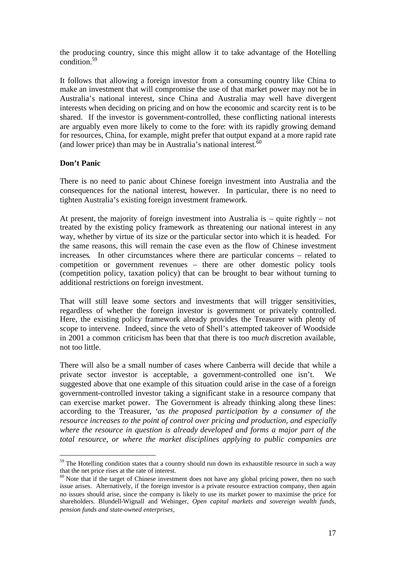the producing country, since this might allow it to take advantage of the Hotelling condition.[59](#page-17-0)

It follows that allowing a foreign investor from a consuming country like China to make an investment that will compromise the use of that market power may not be in Australia's national interest, since China and Australia may well have divergent interests when deciding on pricing and on how the economic and scarcity rent is to be shared. If the investor is government-controlled, these conflicting national interests are arguably even more likely to come to the fore: with its rapidly growing demand for resources, China, for example, might prefer that output expand at a more rapid rate (and lower price) than may be in Australia's national interest. $60$ 

#### **Don't Panic**

There is no need to panic about Chinese foreign investment into Australia and the consequences for the national interest, however. In particular, there is no need to tighten Australia's existing foreign investment framework.

At present, the majority of foreign investment into Australia is – quite rightly – not treated by the existing policy framework as threatening our national interest in any way, whether by virtue of its size or the particular sector into which it is headed. For the same reasons, this will remain the case even as the flow of Chinese investment increases. In other circumstances where there are particular concerns – related to competition or government revenues – there are other domestic policy tools (competition policy, taxation policy) that can be brought to bear without turning to additional restrictions on foreign investment.

That will still leave some sectors and investments that will trigger sensitivities, regardless of whether the foreign investor is government or privately controlled. Here, the existing policy framework already provides the Treasurer with plenty of scope to intervene. Indeed, since the veto of Shell's attempted takeover of Woodside in 2001 a common criticism has been that that there is too *much* discretion available, not too little.

There will also be a small number of cases where Canberra will decide that while a private sector investor is acceptable, a government-controlled one isn't. We suggested above that one example of this situation could arise in the case of a foreign government-controlled investor taking a significant stake in a resource company that can exercise market power. The Government is already thinking along these lines: according to the Treasurer, '*as the proposed participation by a consumer of the resource increases to the point of control over pricing and production, and especially where the resource in question is already developed and forms a major part of the total resource, or where the market disciplines applying to public companies are*

<span id="page-17-0"></span><sup>&</sup>lt;sup>59</sup> The Hotelling condition states that a country should run down its exhaustible resource in such a way that the net price rises at the rate of interest.

<span id="page-17-1"></span> $60$  Note that if the target of Chinese investment does not have any global pricing power, then no such issue arises. Alternatively, if the foreign investor is a private resource extraction company, then again no issues should arise, since the company is likely to use its market power to maximise the price for shareholders. Blundell-Wignall and Wehinger, *Open capital markets and sovereign wealth funds, pension funds and state-owned enterprises*,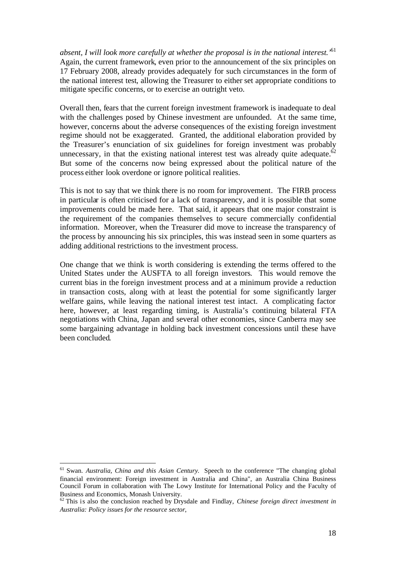*absent, I will look more carefully at whether the proposal is in the national interest.'*[61](#page-18-0) Again, the current framework, even prior to the announcement of the six principles on 17 February 2008, already provides adequately for such circumstances in the form of the national interest test, allowing the Treasurer to either set appropriate conditions to mitigate specific concerns, or to exercise an outright veto.

Overall then, fears that the current foreign investment framework is inadequate to deal with the challenges posed by Chinese investment are unfounded. At the same time, however, concerns about the adverse consequences of the existing foreign investment regime should not be exaggerated. Granted, the additional elaboration provided by the Treasurer's enunciation of six guidelines for foreign investment was probably unnecessary, in that the existing national interest test was already quite adequate. $62$ But some of the concerns now being expressed about the political nature of the process either look overdone or ignore political realities.

This is not to say that we think there is no room for improvement. The FIRB process in particular is often criticised for a lack of transparency, and it is possible that some improvements could be made here. That said, it appears that one major constraint is the requirement of the companies themselves to secure commercially confidential information. Moreover, when the Treasurer did move to increase the transparency of the process by announcing his six principles, this was instead seen in some quarters as adding additional restrictions to the investment process.

One change that we think is worth considering is extending the terms offered to the United States under the AUSFTA to all foreign investors. This would remove the current bias in the foreign investment process and at a minimum provide a reduction in transaction costs, along with at least the potential for some significantly larger welfare gains, while leaving the national interest test intact. A complicating factor here, however, at least regarding timing, is Australia's continuing bilateral FTA negotiations with China, Japan and several other economies, since Canberra may see some bargaining advantage in holding back investment concessions until these have been concluded.

<span id="page-18-0"></span><sup>61</sup> Swan. *Australia, China and this Asian Century.* Speech to the conference "The changing global financial environment: Foreign investment in Australia and China", an Australia China Business Council Forum in collaboration with The Lowy Institute for International Policy and the Faculty of Business and Economics, Monash University.

<span id="page-18-1"></span><sup>62</sup> This is also the conclusion reached by Drysdale and Findlay, *Chinese foreign direct investment in Australia: Policy issues for the resource sector*,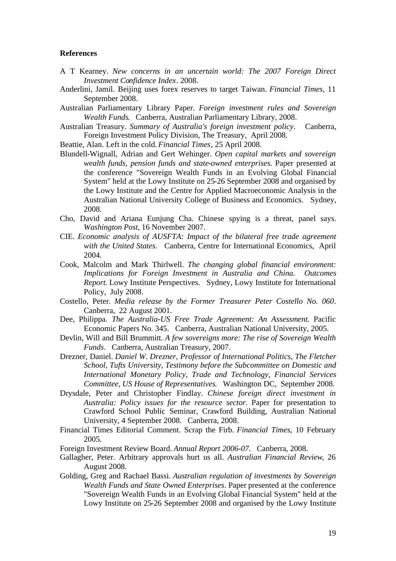#### **References**

- A T Kearney. *New concerns in an uncertain world: The 2007 Foreign Direct Investment Confidence Index*. 2008.
- Anderlini, Jamil. Beijing uses forex reserves to target Taiwan. *Financial Times*, 11 September 2008.
- Australian Parliamentary Library Paper. *Foreign investment rules and Sovereign Wealth Funds*. Canberra, Australian Parliamentary Library, 2008.
- Australian Treasury. *Summary of Australia's foreign investment policy*. Canberra, Foreign Investment Policy Division, The Treasury, April 2008.

Beattie, Alan. Left in the cold. *Financial Times*, 25 April 2008.

- Blundell-Wignall, Adrian and Gert Wehinger. *Open capital markets and sovereign wealth funds, pension funds and state-owned enterprises*. Paper presented at the conference "Sovereign Wealth Funds in an Evolving Global Financial System" held at the Lowy Institute on 25-26 September 2008 and organised by the Lowy Institute and the Centre for Applied Macroeconomic Analysis in the Australian National University College of Business and Economics. Sydney, 2008.
- Cho, David and Ariana Eunjung Cha. Chinese spying is a threat, panel says. *Washington Post*, 16 November 2007.
- CIE. *Economic analysis of AUSFTA: Impact of the bilateral free trade agreement with the United States*. Canberra, Centre for International Economics, April 2004.
- Cook, Malcolm and Mark Thirlwell. *The changing global financial environment: Implications for Foreign Investment in Australia and China. Outcomes Report*. Lowy Institute Perspectives. Sydney, Lowy Institute for International Policy, July 2008.
- Costello, Peter. *Media release by the Former Treasurer Peter Costello No. 060*. Canberra, 22 August 2001.
- Dee, Philippa. *The Australia-US Free Trade Agreement: An Assessment*. Pacific Economic Papers No. 345. Canberra, Australian National University, 2005.
- Devlin, Will and Bill Brummitt. *A few sovereigns more: The rise of Sovereign Wealth Funds*. Canberra, Australian Treasury, 2007.
- Drezner, Daniel. *Daniel W. Drezner, Professor of International Politics, The Fletcher School, Tufts University, Testimony before the Subcommittee on Domestic and International Monetary Policy, Trade and Technology, Financial Services Committee, US House of Representatives*. Washington DC, September 2008.
- Drysdale, Peter and Christopher Findlay. *Chinese foreign direct investment in Australia: Policy issues for the resource sector*. Paper for presentation to Crawford School Public Seminar, Crawford Building, Australian National University, 4 September 2008. Canberra, 2008.
- Financial Times Editorial Comment. Scrap the Firb. *Financial Times*, 10 February 2005.

Foreign Investment Review Board. *Annual Report 2006-07*. Canberra, 2008.

- Gallagher, Peter. Arbitrary approvals hurt us all. *Australian Financial Review*, 26 August 2008.
- Golding, Greg and Rachael Bassi. *Australian regulation of investments by Sovereign Wealth Funds and State Owned Enterprises*. Paper presented at the conference "Sovereign Wealth Funds in an Evolving Global Financial System" held at the Lowy Institute on 25-26 September 2008 and organised by the Lowy Institute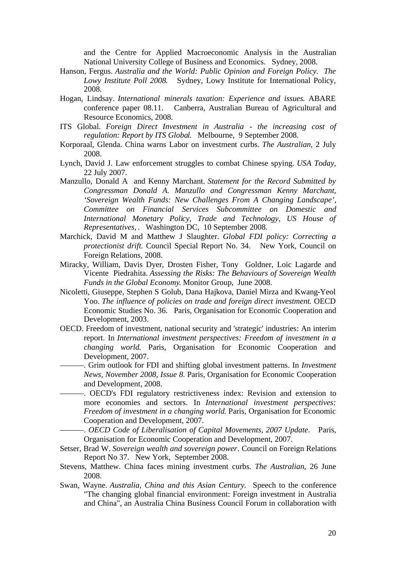and the Centre for Applied Macroeconomic Analysis in the Australian National University College of Business and Economics. Sydney, 2008.

- Hanson, Fergus. *Australia and the World: Public Opinion and Foreign Policy. The Lowy Institute Poll 2008*. Sydney, Lowy Institute for International Policy, 2008.
- Hogan, Lindsay. *International minerals taxation: Experience and issues*. ABARE conference paper 08.11. Canberra, Australian Bureau of Agricultural and Resource Economics, 2008.
- ITS Global. *Foreign Direct Investment in Australia - the increasing cost of regulation: Report by ITS Global*. Melbourne, 9 September 2008.
- Korporaal, Glenda. China warns Labor on investment curbs. *The Australian*, 2 July 2008.
- Lynch, David J. Law enforcement struggles to combat Chinese spying. *USA Today*, 22 July 2007.
- Manzullo, Donald A and Kenny Marchant. *Statement for the Record Submitted by Congressman Donald A. Manzullo and Congressman Kenny Marchant, 'Sovereign Wealth Funds: New Challenges From A Changing Landscape', Committee on Financial Services Subcommittee on Domestic and International Monetary Policy, Trade and Technology, US House of Representatives,* . Washington DC, 10 September 2008.
- Marchick, David M and Matthew J Slaughter. *Global FDI policy: Correcting a protectionist drift*. Council Special Report No. 34. New York, Council on Foreign Relations, 2008.
- Miracky, William, Davis Dyer, Drosten Fisher, Tony Goldner, Loic Lagarde and Vicente Piedrahita. *Assessing the Risks: The Behaviours of Sovereign Wealth Funds in the Global Economy*. Monitor Group, June 2008.
- Nicoletti, Giuseppe, Stephen S Golub, Dana Hajkova, Daniel Mirza and Kwang-Yeol Yoo. *The influence of policies on trade and foreign direct investment*. OECD Economic Studies No. 36. Paris, Organisation for Economic Cooperation and Development, 2003.
- OECD. Freedom of investment, national security and 'strategic' industries: An interim report. In *International investment perspectives: Freedom of investment in a changing world*. Paris, Organisation for Economic Cooperation and Development, 2007.
	- ———. Grim outlook for FDI and shifting global investment patterns. In *Investment News, November 2008, Issue 8*. Paris, Organisation for Economic Cooperation and Development, 2008.
	- ———. OECD's FDI regulatory restrictiveness index: Revision and extension to more economies and sectors. In *International investment perspectives: Freedom of investment in a changing world*. Paris, Organisation for Economic Cooperation and Development, 2007.
		- ———. *OECD Code of Liberalisation of Capital Movements, 2007 Update*. Paris, Organisation for Economic Cooperation and Development, 2007.
- Setser, Brad W. *Sovereign wealth and sovereign power*. Council on Foreign Relations Report No 37. New York, September 2008.
- Stevens, Matthew. China faces mining investment curbs. *The Australian*, 26 June 2008.
- Swan, Wayne. *Australia, China and this Asian Century.* Speech to the conference "The changing global financial environment: Foreign investment in Australia and China", an Australia China Business Council Forum in collaboration with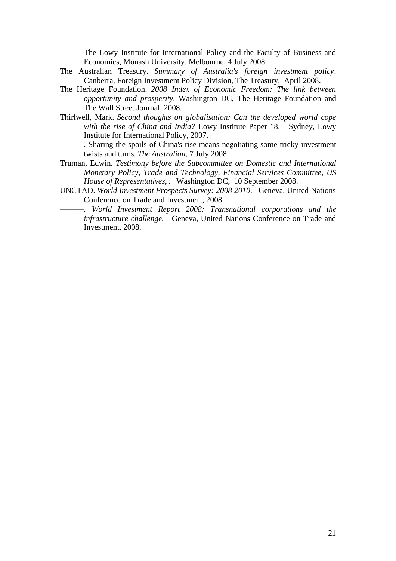The Lowy Institute for International Policy and the Faculty of Business and Economics, Monash University. Melbourne, 4 July 2008.

- The Australian Treasury. *Summary of Australia's foreign investment policy*. Canberra, Foreign Investment Policy Division, The Treasury, April 2008.
- The Heritage Foundation. *2008 Index of Economic Freedom: The link between opportunity and prosperity*. Washington DC, The Heritage Foundation and The Wall Street Journal, 2008.
- Thirlwell, Mark. *Second thoughts on globalisation: Can the developed world cope with the rise of China and India?* Lowy Institute Paper 18. Sydney, Lowy Institute for International Policy, 2007.
	- ———. Sharing the spoils of China's rise means negotiating some tricky investment twists and turns. *The Australian*, 7 July 2008.
- Truman, Edwin. *Testimony before the Subcommittee on Domestic and International Monetary Policy, Trade and Technology, Financial Services Committee, US House of Representatives,* . Washington DC, 10 September 2008.
- UNCTAD. *World Investment Prospects Survey: 2008-2010*. Geneva, United Nations Conference on Trade and Investment, 2008.
	- ———. *World Investment Report 2008: Transnational corporations and the infrastructure challenge*. Geneva, United Nations Conference on Trade and Investment, 2008.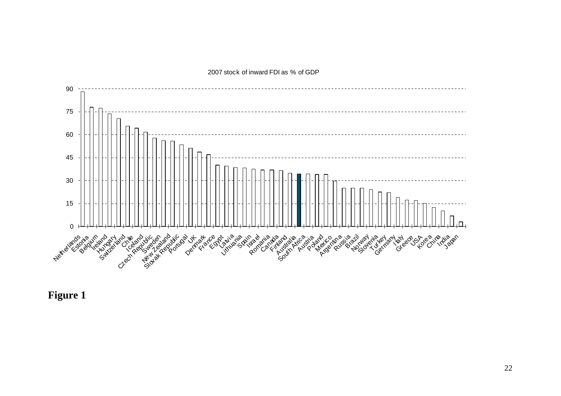

2007 stock of inward FDI as % of GDP

**Figure 1**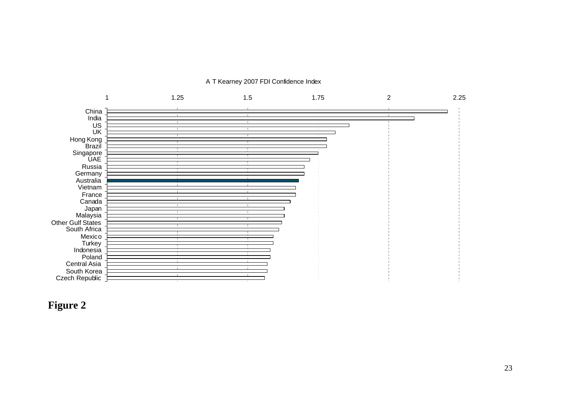

A T Kearney 2007 FDI Confidence Index

### **Figure 2**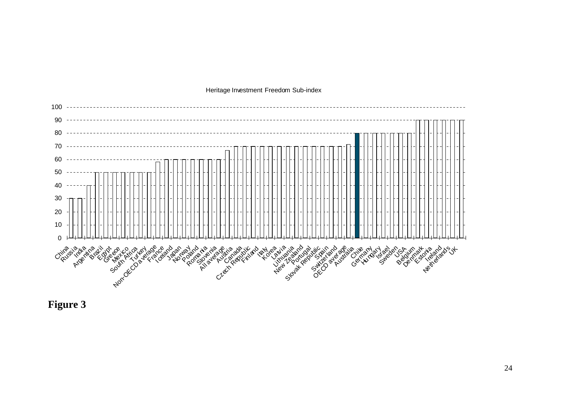

Heritage Investment Freedom Sub-index